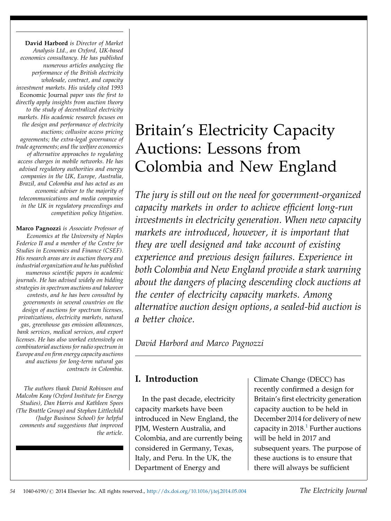David Harbord is Director of Market Analysis Ltd., an Oxford, UK-based economics consultancy. He has published numerous articles analyzing the performance of the British electricity wholesale, contract, and capacity investment markets. His widely cited 1993 Economic Journal paper was the first to directly apply insights from auction theory to the study of decentralized electricity markets. His academic research focuses on the design and performance of electricity auctions; collusive access pricing agreements; the extra-legal governance of trade agreements; and the welfare economics of alternative approaches to regulating access charges in mobile networks. He has advised regulatory authorities and energy companies in the UK, Europe, Australia, Brazil, and Colombia and has acted as an economic adviser to the majority of telecommunications and media companies in the UK in regulatory proceedings and competition policy litigation.

Marco Pagnozzi is Associate Professor of Economics at the University of Naples Federico II and a member of the Centre for Studies in Economics and Finance (CSEF). His research areas are in auction theory and industrial organization and he has published numerous scientific papers in academic journals. He has advised widely on bidding strategies in spectrum auctions and takeover contests, and he has been consulted by governments in several countries on the design of auctions for spectrum licenses, privatizations, electricity markets, natural gas, greenhouse gas emission allowances, bank services, medical services, and export licenses. He has also worked extensively on combinatorial auctions for radio spectrum in Europe and on firm energy capacity auctions and auctions for long-term natural gas contracts in Colombia.

The authors thank David Robinson and Malcolm Keay (Oxford Institute for Energy Studies), Dan Harris and Kathleen Spees (The Brattle Group) and Stephen Littlechild (Judge Business School) for helpful comments and suggestions that improved the article.

# Britain's Electricity Capacity Auctions: Lessons from Colombia and New England

The jury is still out on the need for government-organized capacity markets in order to achieve efficient long-run investments in electricity generation. When new capacity markets are introduced, however, it is important that they are well designed and take account of existing experience and previous design failures. Experience in both Colombia and New England provide a stark warning about the dangers of placing descending clock auctions at the center of electricity capacity markets. Among alternative auction design options, a sealed-bid auction is a better choice.

David Harbord and Marco Pagnozzi

## I. Introduction

In the past decade, electricity capacity markets have been introduced in New England, the PJM, Western Australia, and Colombia, and are currently being considered in Germany, Texas, Italy, and Peru. In the UK, the Department of Energy and

Climate Change (DECC) has recently confirmed a design for Britain's first electricity generation capacity auction to be held in December 2014 for delivery of new capacity in  $2018$ .<sup>1</sup> Further auctions will be held in 2017 and subsequent years. The purpose of these auctions is to ensure that there will always be sufficient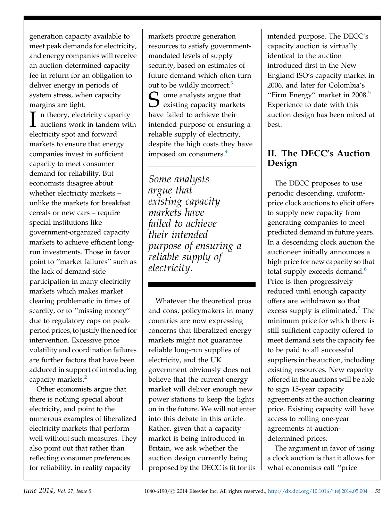generation capacity available to meet peak demands for electricity, and energy companies will receive an auction-determined capacity fee in return for an obligation to deliver energy in periods of system stress, when capacity margins are tight.

 $\mathbf T$  n theory, electricity capacity auctions work in tandem with electricity spot and forward markets to ensure that energy companies invest in sufficient capacity to meet consumer demand for reliability. But economists disagree about whether electricity markets – unlike the markets for breakfast cereals or new cars – require special institutions like government-organized capacity markets to achieve efficient longrun investments. Those in favor point to ''market failures'' such as the lack of demand-side participation in many electricity markets which makes market clearing problematic in times of scarcity, or to ''missing money'' due to regulatory caps on peakperiod prices, to justify the need for intervention. Excessive price volatility and coordination failures are further factors that have been adduced in support of introducing capacity markets.<sup>[2](#page-7-0)</sup>

Other economists argue that there is nothing special about electricity, and point to the numerous examples of liberalized electricity markets that perform well without such measures. They also point out that rather than reflecting consumer preferences for reliability, in reality capacity

markets procure generation resources to satisfy governmentmandated levels of supply security, based on estimates of future demand which often turn out to be wildly incorrect.<sup>3</sup> S ome analysts argue that<br>existing capacity markets have failed to achieve their intended purpose of ensuring a reliable supply of electricity,

despite the high costs they have

imposed on consumers.<sup>4</sup>

Some analysts argue that existing capacity markets have failed to achieve their intended purpose of ensuring a reliable supply of electricity.

Whatever the theoretical pros and cons, policymakers in many countries are now expressing concerns that liberalized energy markets might not guarantee reliable long-run supplies of electricity, and the UK government obviously does not believe that the current energy market will deliver enough new power stations to keep the lights on in the future. We will not enter into this debate in this article. Rather, given that a capacity market is being introduced in Britain, we ask whether the auction design currently being proposed by the DECC is fit for its intended purpose. The DECC's capacity auction is virtually identical to the auction introduced first in the New England ISO's capacity market in 2006, and later for Colombia's "Firm Energy" market in  $2008$ .<sup>[5](#page-7-0)</sup> Experience to date with this auction design has been mixed at best.

## II. The DECC's Auction Design

The DECC proposes to use periodic descending, uniformprice clock auctions to elicit offers to supply new capacity from generating companies to meet predicted demand in future years. In a descending clock auction the auctioneer initially announces a high price for new capacity so that total supply exceeds demand.<sup>[6](#page-7-0)</sup> Price is then progressively reduced until enough capacity offers are withdrawn so that excess supply is eliminated.<sup>[7](#page-7-0)</sup> The minimum price for which there is still sufficient capacity offered to meet demand sets the capacity fee to be paid to all successful suppliers in the auction, including existing resources. New capacity offered in the auctions will be able to sign 15-year capacity agreements at the auction clearing price. Existing capacity will have access to rolling one-year agreements at auctiondetermined prices.

The argument in favor of using a clock auction is that it allows for what economists call ''price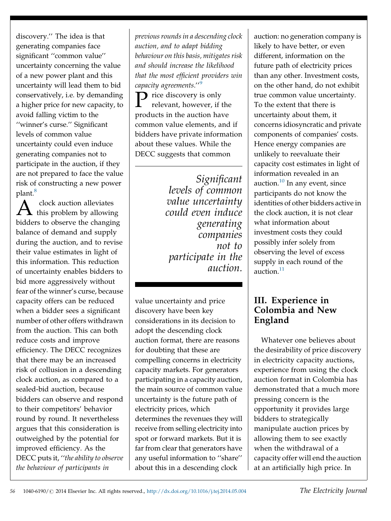discovery.'' The idea is that generating companies face significant ''common value'' uncertainty concerning the value of a new power plant and this uncertainty will lead them to bid conservatively, i.e. by demanding a higher price for new capacity, to avoid falling victim to the ''winner's curse.'' Significant levels of common value uncertainty could even induce generating companies not to participate in the auction, if they are not prepared to face the value risk of constructing a new power plant.<sup>8</sup>

 $A$  clock auction alleviates<br>this problem by allowing bidders to observe the changing balance of demand and supply during the auction, and to revise their value estimates in light of this information. This reduction of uncertainty enables bidders to bid more aggressively without fear of the winner's curse, because capacity offers can be reduced when a bidder sees a significant number of other offers withdrawn from the auction. This can both reduce costs and improve efficiency. The DECC recognizes that there may be an increased risk of collusion in a descending clock auction, as compared to a sealed-bid auction, because bidders can observe and respond to their competitors' behavior round by round. It nevertheless argues that this consideration is outweighed by the potential for improved efficiency. As the DECC puts it, ''the ability to observe the behaviour of participants in

previous rounds in a descending clock auction, and to adapt bidding behaviour on this basis, mitigates risk and should increase the likelihood that the most efficient providers win capacity agreements."<sup>[9](#page-7-0)</sup>  $\bigcap$  rice discovery is only relevant, however, if the products in the auction have common value elements, and if bidders have private information about these values. While the DECC suggests that common

> Significant levels of common value uncertainty could even induce generating companies not to participate in the auction.

value uncertainty and price discovery have been key considerations in its decision to adopt the descending clock auction format, there are reasons for doubting that these are compelling concerns in electricity capacity markets. For generators participating in a capacity auction, the main source of common value uncertainty is the future path of electricity prices, which determines the revenues they will receive from selling electricity into spot or forward markets. But it is far from clear that generators have any useful information to ''share'' about this in a descending clock

auction: no generation company is likely to have better, or even different, information on the future path of electricity prices than any other. Investment costs, on the other hand, do not exhibit true common value uncertainty. To the extent that there is uncertainty about them, it concerns idiosyncratic and private components of companies' costs. Hence energy companies are unlikely to reevaluate their capacity cost estimates in light of information revealed in an auction. $10$  In any event, since participants do not know the identities of other bidders active in the clock auction, it is not clear what information about investment costs they could possibly infer solely from observing the level of excess supply in each round of the auction $11$ 

## III. Experience in Colombia and New England

Whatever one believes about the desirability of price discovery in electricity capacity auctions, experience from using the clock auction format in Colombia has demonstrated that a much more pressing concern is the opportunity it provides large bidders to strategically manipulate auction prices by allowing them to see exactly when the withdrawal of a capacity offer will end the auction at an artificially high price. In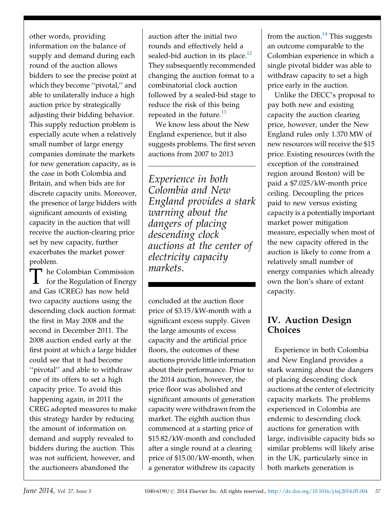other words, providing information on the balance of supply and demand during each round of the auction allows bidders to see the precise point at which they become ''pivotal,'' and able to unilaterally induce a high auction price by strategically adjusting their bidding behavior. This supply reduction problem is especially acute when a relatively small number of large energy companies dominate the markets for new generation capacity, as is the case in both Colombia and Britain, and when bids are for discrete capacity units. Moreover, the presence of large bidders with significant amounts of existing capacity in the auction that will receive the auction-clearing price set by new capacity, further exacerbates the market power problem.

T he Colombian Commission for the Regulation of Energy and Gas (CREG) has now held two capacity auctions using the descending clock auction format: the first in May 2008 and the second in December 2011. The 2008 auction ended early at the first point at which a large bidder could see that it had become ''pivotal'' and able to withdraw one of its offers to set a high capacity price. To avoid this happening again, in 2011 the CREG adopted measures to make this strategy harder by reducing the amount of information on demand and supply revealed to bidders during the auction. This was not sufficient, however, and the auctioneers abandoned the

auction after the initial two rounds and effectively held a sealed-bid auction in its place. $^{12}$ They subsequently recommended changing the auction format to a combinatorial clock auction followed by a sealed-bid stage to reduce the risk of this being repeated in the future.<sup>13</sup>

We know less about the New England experience, but it also suggests problems. The first seven auctions from 2007 to 2013

Experience in both Colombia and New England provides a stark warning about the dangers of placing descending clock auctions at the center of electricity capacity markets.

concluded at the auction floor price of \$3.15/kW-month with a significant excess supply. Given the large amounts of excess capacity and the artificial price floors, the outcomes of these auctions provide little information about their performance. Prior to the 2014 auction, however, the price floor was abolished and significant amounts of generation capacity were withdrawn from the market. The eighth auction thus commenced at a starting price of \$15.82/kW-month and concluded after a single round at a clearing price of \$15.00/kW-month, when a generator withdrew its capacity from the auction. $14$  This suggests an outcome comparable to the Colombian experience in which a single pivotal bidder was able to withdraw capacity to set a high price early in the auction.

Unlike the DECC's proposal to pay both new and existing capacity the auction clearing price, however, under the New England rules only 1.370 MW of new resources will receive the \$15 price. Existing resources (with the exception of the constrained region around Boston) will be paid a \$7.025/kW-month price ceiling. Decoupling the prices paid to new versus existing capacity is a potentially important market power mitigation measure, especially when most of the new capacity offered in the auction is likely to come from a relatively small number of energy companies which already own the lion's share of extant capacity.

## IV. Auction Design Choices

Experience in both Colombia and New England provides a stark warning about the dangers of placing descending clock auctions at the center of electricity capacity markets. The problems experienced in Colombia are endemic to descending clock auctions for generation with large, indivisible capacity bids so similar problems will likely arise in the UK, particularly since in both markets generation is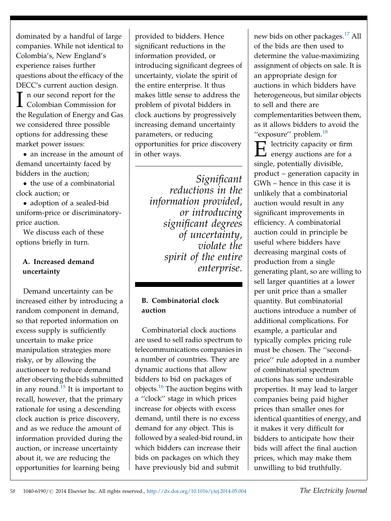dominated by a handful of large companies. While not identical to Colombia's, New England's experience raises further questions about the efficacy of the DECC's current auction design. I n our second report for the **L** Colombian Commission for the Regulation of Energy and Gas we considered three possible options for addressing these market power issues:

• an increase in the amount of demand uncertainty faced by bidders in the auction;

• the use of a combinatorial clock auction; or

• adoption of a sealed-bid uniform-price or discriminatoryprice auction.

We discuss each of these options briefly in turn.

#### A. Increased demand uncertainty

Demand uncertainty can be increased either by introducing a random component in demand, so that reported information on excess supply is sufficiently uncertain to make price manipulation strategies more risky, or by allowing the auctioneer to reduce demand after observing the bids submitted in any round. $15$  It is important to recall, however, that the primary rationale for using a descending clock auction is price discovery, and as we reduce the amount of information provided during the auction, or increase uncertainty about it, we are reducing the opportunities for learning being

provided to bidders. Hence significant reductions in the information provided, or introducing significant degrees of uncertainty, violate the spirit of the entire enterprise. It thus makes little sense to address the problem of pivotal bidders in clock auctions by progressively increasing demand uncertainty parameters, or reducing opportunities for price discovery in other ways.

> Significant reductions in the information provided, or introducing significant degrees of uncertainty, violate the spirit of the entire enterprise.

#### B. Combinatorial clock auction

Combinatorial clock auctions are used to sell radio spectrum to telecommunications companies in a number of countries. They are dynamic auctions that allow bidders to bid on packages of objects. $16$  The auction begins with a ''clock'' stage in which prices increase for objects with excess demand, until there is no excess demand for any object. This is followed by a sealed-bid round, in which bidders can increase their bids on packages on which they have previously bid and submit

new bids on other packages.[17](#page-8-0) All of the bids are then used to determine the value-maximizing assignment of objects on sale. It is an appropriate design for auctions in which bidders have heterogeneous, but similar objects to sell and there are complementarities between them, as it allows bidders to avoid the "exposure" problem.<sup>[18](#page-8-0)</sup>  $\prod$  lectricity capacity or firm<br>
energy auctions are for a<br>  $\vdots$ single, potentially divisible, product – generation capacity in GWh – hence in this case it is unlikely that a combinatorial auction would result in any significant improvements in efficiency. A combinatorial auction could in principle be useful where bidders have decreasing marginal costs of production from a single generating plant, so are willing to sell larger quantities at a lower per unit price than a smaller

quantity. But combinatorial auctions introduce a number of additional complications. For example, a particular and typically complex pricing rule must be chosen. The ''secondprice'' rule adopted in a number of combinatorial spectrum auctions has some undesirable properties. It may lead to larger companies being paid higher prices than smaller ones for identical quantities of energy, and it makes it very difficult for bidders to anticipate how their bids will affect the final auction prices, which may make them unwilling to bid truthfully.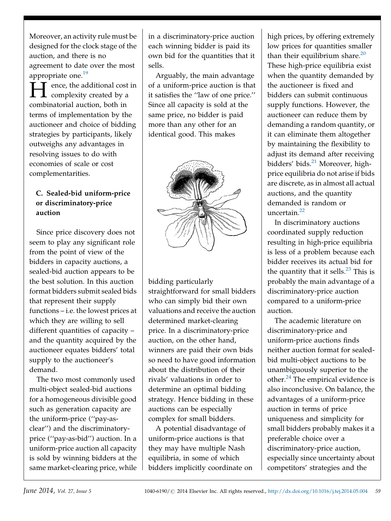Moreover, an activity rule must be designed for the clock stage of the auction, and there is no agreement to date over the most appropriate one.<sup>19</sup>

**H** ence, the additional cost in complexity created by a combinatorial auction, both in terms of implementation by the auctioneer and choice of bidding strategies by participants, likely outweighs any advantages in resolving issues to do with economies of scale or cost complementarities.

### C. Sealed-bid uniform-price or discriminatory-price auction

Since price discovery does not seem to play any significant role from the point of view of the bidders in capacity auctions, a sealed-bid auction appears to be the best solution. In this auction format bidders submit sealed bids that represent their supply functions – i.e. the lowest prices at which they are willing to sell different quantities of capacity – and the quantity acquired by the auctioneer equates bidders' total supply to the auctioneer's demand.

The two most commonly used multi-object sealed-bid auctions for a homogeneous divisible good such as generation capacity are the uniform-price (''pay-asclear'') and the discriminatoryprice (''pay-as-bid'') auction. In a uniform-price auction all capacity is sold by winning bidders at the same market-clearing price, while in a discriminatory-price auction each winning bidder is paid its own bid for the quantities that it sells.

Arguably, the main advantage of a uniform-price auction is that it satisfies the ''law of one price.'' Since all capacity is sold at the same price, no bidder is paid more than any other for an identical good. This makes



bidding particularly straightforward for small bidders who can simply bid their own valuations and receive the auction determined market-clearing price. In a discriminatory-price auction, on the other hand, winners are paid their own bids so need to have good information about the distribution of their rivals' valuations in order to determine an optimal bidding strategy. Hence bidding in these auctions can be especially complex for small bidders.

A potential disadvantage of uniform-price auctions is that they may have multiple Nash equilibria, in some of which bidders implicitly coordinate on high prices, by offering extremely low prices for quantities smaller than their equilibrium share. $^{20}$ These high-price equilibria exist when the quantity demanded by the auctioneer is fixed and bidders can submit continuous supply functions. However, the auctioneer can reduce them by demanding a random quantity, or it can eliminate them altogether by maintaining the flexibility to adjust its demand after receiving bidders' bids.<sup>[21](#page-8-0)</sup> Moreover, highprice equilibria do not arise if bids are discrete, as in almost all actual auctions, and the quantity demanded is random or  $uncertain<sup>22</sup>$ 

In discriminatory auctions coordinated supply reduction resulting in high-price equilibria is less of a problem because each bidder receives its actual bid for the quantity that it sells. $^{23}$  $^{23}$  $^{23}$  This is probably the main advantage of a discriminatory-price auction compared to a uniform-price auction.

The academic literature on discriminatory-price and uniform-price auctions finds neither auction format for sealedbid multi-object auctions to be unambiguously superior to the other.[24](#page-8-0) The empirical evidence is also inconclusive. On balance, the advantages of a uniform-price auction in terms of price uniqueness and simplicity for small bidders probably makes it a preferable choice over a discriminatory-price auction, especially since uncertainty about competitors' strategies and the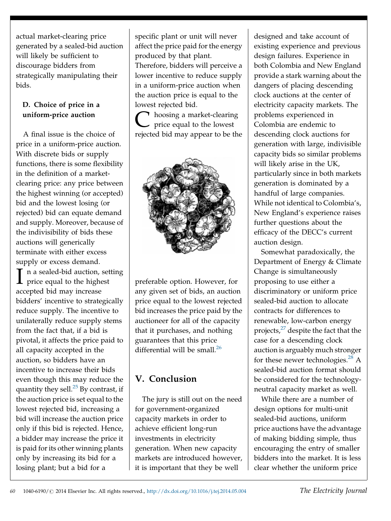actual market-clearing price generated by a sealed-bid auction will likely be sufficient to discourage bidders from strategically manipulating their bids.

#### D. Choice of price in a uniform-price auction

A final issue is the choice of price in a uniform-price auction. With discrete bids or supply functions, there is some flexibility in the definition of a marketclearing price: any price between the highest winning (or accepted) bid and the lowest losing (or rejected) bid can equate demand and supply. Moreover, because of the indivisibility of bids these auctions will generically terminate with either excess supply or excess demand.

I n a sealed-bid auction, setting<br>price equal to the highest accepted bid may increase bidders' incentive to strategically reduce supply. The incentive to unilaterally reduce supply stems from the fact that, if a bid is pivotal, it affects the price paid to all capacity accepted in the auction, so bidders have an incentive to increase their bids even though this may reduce the quantity they sell. $^{25}$  $^{25}$  $^{25}$  By contrast, if the auction price is set equal to the lowest rejected bid, increasing a bid will increase the auction price only if this bid is rejected. Hence, a bidder may increase the price it is paid for its other winning plants only by increasing its bid for a losing plant; but a bid for a

specific plant or unit will never affect the price paid for the energy produced by that plant. Therefore, bidders will perceive a lower incentive to reduce supply in a uniform-price auction when the auction price is equal to the lowest rejected bid.

C hoosing a market-clearing<br>price equal to the lowest rejected bid may appear to be the



preferable option. However, for any given set of bids, an auction price equal to the lowest rejected bid increases the price paid by the auctioneer for all of the capacity that it purchases, and nothing guarantees that this price differential will be small. $^{26}$ 

## V. Conclusion

The jury is still out on the need for government-organized capacity markets in order to achieve efficient long-run investments in electricity generation. When new capacity markets are introduced however, it is important that they be well

designed and take account of existing experience and previous design failures. Experience in both Colombia and New England provide a stark warning about the dangers of placing descending clock auctions at the center of electricity capacity markets. The problems experienced in Colombia are endemic to descending clock auctions for generation with large, indivisible capacity bids so similar problems will likely arise in the UK, particularly since in both markets generation is dominated by a handful of large companies. While not identical to Colombia's, New England's experience raises further questions about the efficacy of the DECC's current auction design.

Somewhat paradoxically, the Department of Energy & Climate Change is simultaneously proposing to use either a discriminatory or uniform price sealed-bid auction to allocate contracts for differences to renewable, low-carbon energy projects, $27$  despite the fact that the case for a descending clock auction is arguably much stronger for these newer technologies. $^{28}$  $^{28}$  $^{28}$  A sealed-bid auction format should be considered for the technologyneutral capacity market as well.

While there are a number of design options for multi-unit sealed-bid auctions, uniform price auctions have the advantage of making bidding simple, thus encouraging the entry of smaller bidders into the market. It is less clear whether the uniform price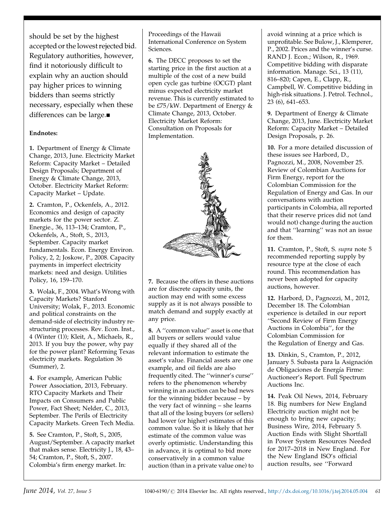<span id="page-7-0"></span>should be set by the highest accepted or the lowest rejected bid. Regulatory authorities, however, find it notoriously difficult to explain why an auction should pay higher prices to winning bidders than seems strictly necessary, especially when these differences can be large.

#### Endnotes:

1. Department of Energy & Climate Change, 2013, June. Electricity Market Reform: Capacity Market – Detailed Design Proposals; Department of Energy & Climate Change, 2013, October. Electricity Market Reform: Capacity Market – Update.

2. Cramton, P., Ockenfels, A., 2012. Economics and design of capacity markets for the power sector. Z. Energie., 36, 113–134; Cramton, P., Ockenfels, A., Stoft, S., 2013, September. Capacity market fundamentals. Econ. Energy Environ. Policy, 2, 2; Joskow, P., 2008. Capacity payments in imperfect electricity markets: need and design. Utilities Policy, 16, 159–170.

3. Wolak, F., 2004. What's Wrong with Capacity Markets? Stanford University; Wolak, F., 2013. Economic and political constraints on the demand-side of electricity industry restructuring processes. Rev. Econ. Inst., 4 (Winter (1)); Kleit, A., Michaels, R., 2013. If you buy the power, why pay for the power plant? Reforming Texas electricity markets. Regulation 36 (Summer), 2.

4. For example, American Public Power Association, 2013, February. RTO Capacity Markets and Their Impacts on Consumers and Public Power, Fact Sheet; Nelder, C., 2013, September. The Perils of Electricity Capacity Markets. Green Tech Media.

5. See Cramton, P., Stoft, S., 2005, August/September. A capacity market that makes sense. Electricity J., 18, 43– 54; Cramton, P., Stoft, S., 2007. Colombia's firm energy market. In:

Proceedings of the Hawaii International Conference on System Sciences.

6. The DECC proposes to set the starting price in the first auction at a multiple of the cost of a new build open cycle gas turbine (OCGT) plant minus expected electricity market revenue. This is currently estimated to be £75/kW. Department of Energy & Climate Change, 2013, October. Electricity Market Reform: Consultation on Proposals for Implementation.



7. Because the offers in these auctions are for discrete capacity units, the auction may end with some excess supply as it is not always possible to match demand and supply exactly at any price.

8. A ''common value'' asset is one that all buyers or sellers would value equally if they shared all of the relevant information to estimate the asset's value. Financial assets are one example, and oil fields are also frequently cited. The ''winner's curse'' refers to the phenomenon whereby winning in an auction can be bad news for the winning bidder because – by the very fact of winning – she learns that all of the losing buyers (or sellers) had lower (or higher) estimates of this common value. So it is likely that her estimate of the common value was overly optimistic. Understanding this in advance, it is optimal to bid more conservatively in a common value auction (than in a private value one) to avoid winning at a price which is unprofitable. See Bulow, J., Klemperer, P., 2002. Prices and the winner's curse. RAND J. Econ.; Wilson, R., 1969. Competitive bidding with disparate information. Manage. Sci., 13 (11), 816–820; Capen, E., Clapp, R., Campbell, W. Competitive bidding in high-risk situations. J. Petrol. Technol., 23 (6), 641–653.

9. Department of Energy & Climate Change, 2013, June. Electricity Market Reform: Capacity Market – Detailed Design Proposals, p. 26.

10. For a more detailed discussion of these issues see Harbord, D., Pagnozzi, M., 2008, November 25. Review of Colombian Auctions for Firm Energy, report for the Colombian Commission for the Regulation of Energy and Gas. In our conversations with auction participants in Colombia, all reported that their reserve prices did not (and would not) change during the auction and that ''learning'' was not an issue for them.

11. Cramton, P., Stoft, S. supra note 5 recommended reporting supply by resource type at the close of each round. This recommendation has never been adopted for capacity auctions, however.

12. Harbord, D., Pagnozzi, M., 2012, December 18. The Colombian experience is detailed in our report ''Second Review of Firm Energy Auctions in Colombia'', for the Colombian Commission for the Regulation of Energy and Gas.

13. Dinkin, S., Cramton, P., 2012, January 5. Subasta para la Asignación de Obligaciones de Energía Firme: Auctioneer's Report. Full Spectrum Auctions Inc.

14. Peak Oil News, 2014, February 18. Big numbers for New England Electricity auction might not be enough to bring new capacity; Business Wire, 2014, February 5. Auction Ends with Slight Shortfall in Power System Resources Needed for 2017–2018 in New England. For the New England ISO's official auction results, see ''Forward